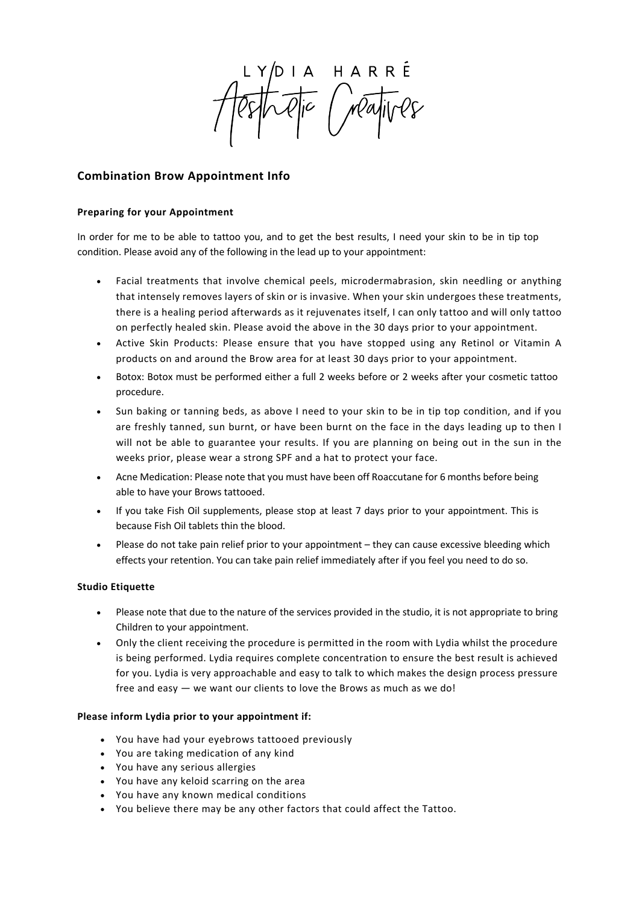HARRÉ<br>Mayives

# **Combination Brow Appointment Info**

# **Preparing for your Appointment**

In order for me to be able to tattoo you, and to get the best results, I need your skin to be in tip top condition. Please avoid any of the following in the lead up to your appointment:

- Facial treatments that involve chemical peels, microdermabrasion, skin needling or anything that intensely removes layers of skin or is invasive. When your skin undergoes these treatments, there is a healing period afterwards as it rejuvenates itself, I can only tattoo and will only tattoo on perfectly healed skin. Please avoid the above in the 30 days prior to your appointment.
- Active Skin Products: Please ensure that you have stopped using any Retinol or Vitamin A products on and around the Brow area for at least 30 days prior to your appointment.
- Botox: Botox must be performed either a full 2 weeks before or 2 weeks after your cosmetic tattoo procedure.
- Sun baking or tanning beds, as above I need to your skin to be in tip top condition, and if you are freshly tanned, sun burnt, or have been burnt on the face in the days leading up to then I will not be able to guarantee your results. If you are planning on being out in the sun in the weeks prior, please wear a strong SPF and a hat to protect your face.
- Acne Medication: Please note that you must have been off Roaccutane for 6 months before being able to have your Brows tattooed.
- If you take Fish Oil supplements, please stop at least 7 days prior to your appointment. This is because Fish Oil tablets thin the blood.
- Please do not take pain relief prior to your appointment they can cause excessive bleeding which effects your retention. You can take pain relief immediately after if you feel you need to do so.

## **Studio Etiquette**

- Please note that due to the nature of the services provided in the studio, it is not appropriate to bring Children to your appointment.
- Only the client receiving the procedure is permitted in the room with Lydia whilst the procedure is being performed. Lydia requires complete concentration to ensure the best result is achieved for you. Lydia is very approachable and easy to talk to which makes the design process pressure free and easy — we want our clients to love the Brows as much as we do!

## **Please inform Lydia prior to your appointment if:**

- You have had your eyebrows tattooed previously
- You are taking medication of any kind
- You have any serious allergies
- You have any keloid scarring on the area
- You have any known medical conditions
- You believe there may be any other factors that could affect the Tattoo.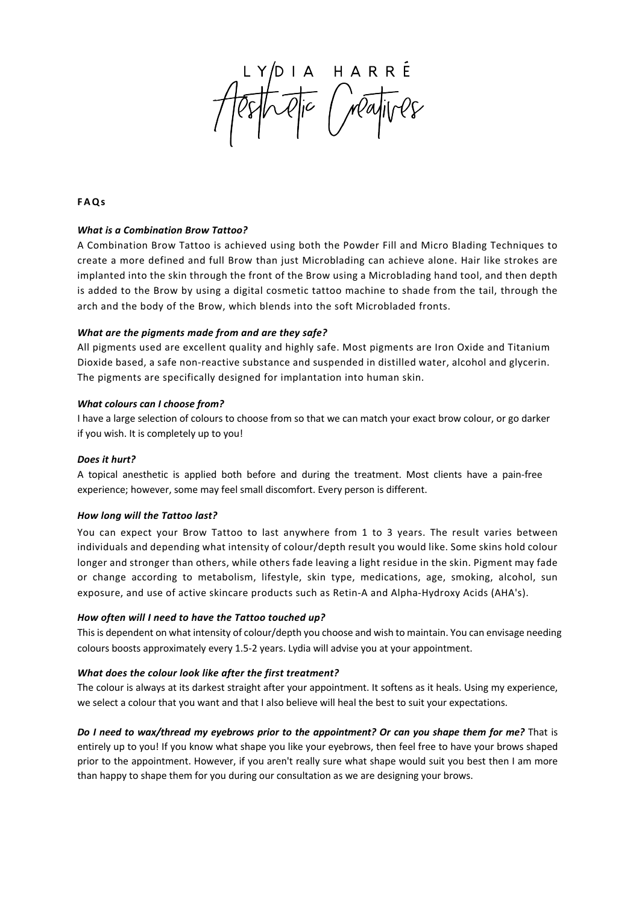OIA HARRÉ<br>Die Mayives

**FAQs**

#### *What is a Combination Brow Tattoo?*

A Combination Brow Tattoo is achieved using both the Powder Fill and Micro Blading Techniques to create a more defined and full Brow than just Microblading can achieve alone. Hair like strokes are implanted into the skin through the front of the Brow using a Microblading hand tool, and then depth is added to the Brow by using a digital cosmetic tattoo machine to shade from the tail, through the arch and the body of the Brow, which blends into the soft Microbladed fronts.

#### *What are the pigments made from and are they safe?*

All pigments used are excellent quality and highly safe. Most pigments are Iron Oxide and Titanium Dioxide based, a safe non-reactive substance and suspended in distilled water, alcohol and glycerin. The pigments are specifically designed for implantation into human skin.

#### *What colours can I choose from?*

I have a large selection of colours to choose from so that we can match your exact brow colour, or go darker if you wish. It is completely up to you!

## *Does it hurt?*

A topical anesthetic is applied both before and during the treatment. Most clients have a pain-free experience; however, some may feel small discomfort. Every person is different.

## *How long will the Tattoo last?*

You can expect your Brow Tattoo to last anywhere from 1 to 3 years. The result varies between individuals and depending what intensity of colour/depth result you would like. Some skins hold colour longer and stronger than others, while others fade leaving a light residue in the skin. Pigment may fade or change according to metabolism, lifestyle, skin type, medications, age, smoking, alcohol, sun exposure, and use of active skincare products such as Retin-A and Alpha-Hydroxy Acids (AHA's).

## *How often will I need to have the Tattoo touched up?*

This is dependent on what intensity of colour/depth you choose and wish to maintain. You can envisage needing colours boosts approximately every 1.5-2 years. Lydia will advise you at your appointment.

#### *What does the colour look like after the first treatment?*

The colour is always at its darkest straight after your appointment. It softens as it heals. Using my experience, we select a colour that you want and that I also believe will heal the best to suit your expectations.

#### *Do I need to wax/thread my eyebrows prior to the appointment? Or can you shape them for me?* That is

entirely up to you! If you know what shape you like your eyebrows, then feel free to have your brows shaped prior to the appointment. However, if you aren't really sure what shape would suit you best then I am more than happy to shape them for you during our consultation as we are designing your brows.